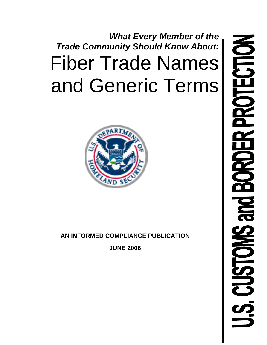# *What Every Member of the Trade Community Should Know About:*  Fiber Trade Names and Generic Terms



**AN INFORMED COMPLIANCE PUBLICATION** 

**JUNE 2006**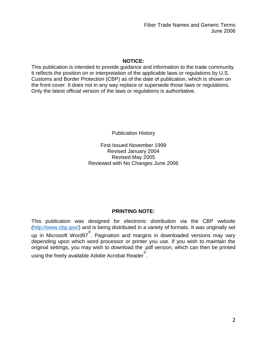#### **NOTICE:**

This publication is intended to provide guidance and information to the trade community. It reflects the position on or interpretation of the applicable laws or regulations by U.S. Customs and Border Protection (CBP) as of the date of publication, which is shown on the front cover. It does not in any way replace or supersede those laws or regulations. Only the latest official version of the laws or regulations is authoritative.

Publication History

First Issued November 1999 Revised January 2004 Revised May 2005 Reviewed with No Changes June 2006

#### **PRINTING NOTE:**

This publication was designed for electronic distribution via the CBP website [\(http://www.cbp.gov/\)](http://www.cbp.gov/) and is being distributed in a variety of formats. It was originally set up in Microsoft Word97 $^{\circ}$ . Pagination and margins in downloaded versions may vary depending upon which word processor or printer you use. If you wish to maintain the original settings, you may wish to download the .pdf version, which can then be printed using the freely available Adobe Acrobat Reader ® .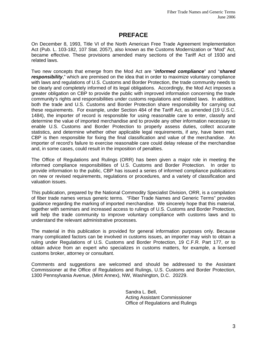#### **PREFACE**

On December 8, 1993, Title VI of the North American Free Trade Agreement Implementation Act (Pub. L. 103-182, 107 Stat. 2057), also known as the Customs Modernization or "Mod" Act, became effective. These provisions amended many sections of the Tariff Act of 1930 and related laws.

Two new concepts that emerge from the Mod Act are "*informed compliance*" and "*shared*  **responsibility**," which are premised on the idea that in order to maximize voluntary compliance with laws and regulations of U.S. Customs and Border Protection, the trade community needs to be clearly and completely informed of its legal obligations. Accordingly, the Mod Act imposes a greater obligation on CBP to provide the public with improved information concerning the trade community's rights and responsibilities under customs regulations and related laws. In addition, both the trade and U.S. Customs and Border Protection share responsibility for carrying out these requirements. For example, under Section 484 of the Tariff Act, as amended (19 U.S.C. 1484), the importer of record is responsible for using reasonable care to enter, classify and determine the value of imported merchandise and to provide any other information necessary to enable U.S. Customs and Border Protection to properly assess duties, collect accurate statistics, and determine whether other applicable legal requirements, if any, have been met. CBP is then responsible for fixing the final classification and value of the merchandise. An importer of record's failure to exercise reasonable care could delay release of the merchandise and, in some cases, could result in the imposition of penalties.

The Office of Regulations and Rulings (ORR) has been given a major role in meeting the informed compliance responsibilities of U.S. Customs and Border Protection. In order to provide information to the public, CBP has issued a series of informed compliance publications on new or revised requirements, regulations or procedures, and a variety of classification and valuation issues.

This publication, prepared by the National Commodity Specialist Division, ORR, is a compilation of fiber trade names versus generic terms. "Fiber Trade Names and Generic Terms" provides guidance regarding the marking of imported merchandise. We sincerely hope that this material, together with seminars and increased access to rulings of U.S. Customs and Border Protection, will help the trade community to improve voluntary compliance with customs laws and to understand the relevant administrative processes.

The material in this publication is provided for general information purposes only. Because many complicated factors can be involved in customs issues, an importer may wish to obtain a ruling under Regulations of U.S. Customs and Border Protection, 19 C.F.R. Part 177, or to obtain advice from an expert who specializes in customs matters, for example, a licensed customs broker, attorney or consultant.

Comments and suggestions are welcomed and should be addressed to the Assistant Commissioner at the Office of Regulations and Rulings, U.S. Customs and Border Protection, 1300 Pennsylvania Avenue, (Mint Annex), NW, Washington, D.C. 20229.

> Sandra L. Bell, Acting Assistant Commissioner Office of Regulations and Rulings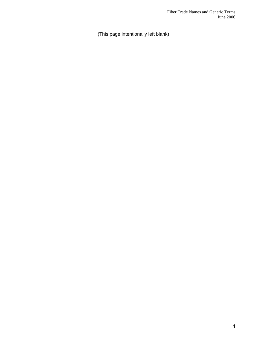(This page intentionally left blank)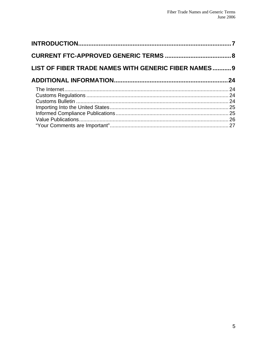| LIST OF FIBER TRADE NAMES WITH GENERIC FIBER NAMES 9 |  |
|------------------------------------------------------|--|
|                                                      |  |
|                                                      |  |
|                                                      |  |
|                                                      |  |
|                                                      |  |
|                                                      |  |
|                                                      |  |
|                                                      |  |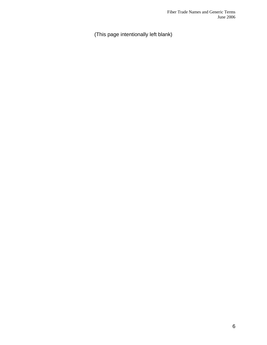(This page intentionally left blank)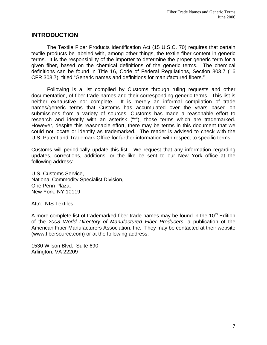#### **INTRODUCTION**

The Textile Fiber Products Identification Act (15 U.S.C. 70) requires that certain textile products be labeled with, among other things, the textile fiber content in generic terms. It is the responsibility of the importer to determine the proper generic term for a given fiber, based on the chemical definitions of the generic terms. The chemical definitions can be found in Title 16, Code of Federal Regulations, Section 303.7 (16 CFR 303.7), titled "Generic names and definitions for manufactured fibers."

Following is a list compiled by Customs through ruling requests and other documentation, of fiber trade names and their corresponding generic terms. This list is neither exhaustive nor complete. It is merely an informal compilation of trade names/generic terms that Customs has accumulated over the years based on submissions from a variety of sources. Customs has made a reasonable effort to research and identify with an asterisk ("\*"), those terms which are trademarked. However, despite this reasonable effort, there may be terms in this document that we could not locate or identify as trademarked. The reader is advised to check with the U.S. Patent and Trademark Office for further information with respect to specific terms.

Customs will periodically update this list. We request that any information regarding updates, corrections, additions, or the like be sent to our New York office at the following address:

U.S. Customs Service, National Commodity Specialist Division, One Penn Plaza, New York, NY 10119

Attn: NIS Textiles

A more complete list of trademarked fiber trade names may be found in the 10<sup>th</sup> Edition of the *2003 World Directory of Manufactured Fiber Producers*, a publication of the American Fiber Manufacturers Association, Inc. They may be contacted at their website (www.fibersource.com) or at the following address:

1530 Wilson Blvd., Suite 690 Arlington, VA 22209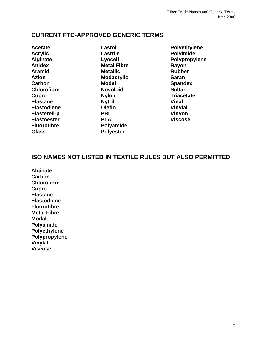#### **CURRENT FTC-APPROVED GENERIC TERMS**

Acrylic **Lastrile Polyimide** Anidex **Metal Fibre** Rayon Aramid Metallic Rubber Azlon **Modacrylic** Saran **Saran** Carbon Modal Spandex **Chlorofibre Movoloid Sulfar Chlorofibre Cupro Cupro Nylon Nylon Triacetate Elastane Nytril Winal**  Nytril **Vinal Elastodiene Olefin Vinylal Elasterell-p PBI** PRI Vinyon **Elastoester PLA Viscose Fluorofibre Polyamide Glass Polyester** 

Acetate **Lastol** Lastol **Polyethylene** Alginate **Lyocell** Lyocell **Polypropylene** 

#### **ISO NAMES NOT LISTED IN TEXTILE RULES BUT ALSO PERMITTED**

**Alginate Carbon Chlorofibre Cupro Elastane Elastodiene Fluorofibre Metal Fibre Modal Polyamide Polyethylene Polypropylene Vinylal Viscose**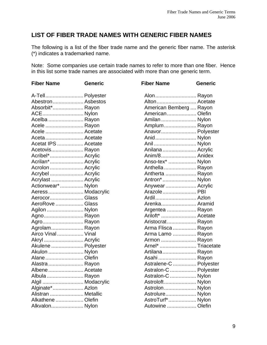# **LIST OF FIBER TRADE NAMES WITH GENERIC FIBER NAMES**

The following is a list of the fiber trade name and the generic fiber name. The asterisk (\*) indicates a trademarked name.

Note: Some companies use certain trade names to refer to more than one fiber. Hence in this list some trade names are associated with more than one generic term.

| <b>Fiber Name</b>   | <b>Generic</b> | <b>Fiber Name</b>       | <b>Generic</b> |
|---------------------|----------------|-------------------------|----------------|
| A-Tell Polyester    |                | Alon  Rayon             |                |
| Abestron Asbestos   |                | Alton Acetate           |                |
| Absorbit* Rayon     |                | American Bemberg  Rayon |                |
| ACE  Nylon          |                | American Olefin         |                |
| Acelba  Rayon       |                | Amilan  Nylon           |                |
| Acele  Rayon        |                | Amplum Rayon            |                |
| Acele  Acetate      |                | Anavor Polyester        |                |
| Aceta  Acetate      |                | Anid Nylon              |                |
| Acetat IPS  Acetate |                | Anil  Nylon             |                |
| Acetovis Rayon      |                | Anilana  Acrylic        |                |
| Acribel* Acrylic    |                | Anim/8 Anidex           |                |
| Acrilan* Acrylic    |                | Anso-tex*  Nylon        |                |
| Acrolon  Acrylic    |                | Anthella  Rayon         |                |
| Acrybel  Acrylic    |                | Antherta  Rayon         |                |
| Acrylast  Acrylic   |                | Antron*  Nylon          |                |
| Actionwear*  Nylon  |                | Anywear  Acrylic        |                |
| Aeress  Modacrylic  |                | Arazole PBI             |                |
| AerocorGlass        |                | Ardil Azlon             |                |
| AeroRove Glass      |                | Arenka Aramid           |                |
| Agilon  Nylon       |                | Argentea  Rayon         |                |
| Agno Rayon          |                | Ariloft*  Acetate       |                |
| Agro Rayon          |                | Aristocrat Rayon        |                |
| Agrolam Rayon       |                | Arma Flisca  Rayon      |                |
| Airco Vinal Vinal   |                | Arma Lamo  Rayon        |                |
| Akryl  Acrylic      |                | Armon  Rayon            |                |
| Akulene  Polyester  |                | Arnel*  Triacetate      |                |
| Akulon  Nylon       |                | Artilana Rayon          |                |
| Alane  Olefin       |                | Asahi Rayon             |                |
| Alastra  Rayon      |                | Astralene-C  Polyester  |                |
| Albene Acetate      |                | Astralon-C  Polyester   |                |
| Albula  Rayon       |                | Astralon-C  Nylon       |                |
| Algil  Modacrylic   |                | Astroloft Nylon         |                |
| Alginate* Azlon     |                | Astrolon Nylon          |                |
| Alistran  Metallic  |                | Astrolure Nylon         |                |
| Alkathene  Olefin   |                | AstroTurf* Nylon        |                |
| Alkvalon Nylon      |                | Autowine  Olefin        |                |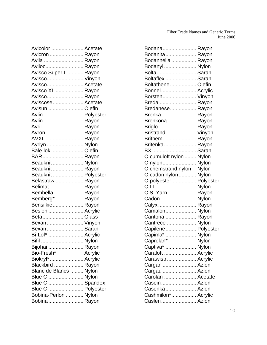| Avicolor  Acetate      |         |
|------------------------|---------|
| Avicron  Rayon         |         |
| Avila  Rayon           |         |
| Aviloc Rayon           |         |
| Avisco Super L Rayon   |         |
| Avisco Vinyon          |         |
| Avisco Acetate         |         |
| Avisco XL  Rayon       |         |
| Avisco Rayon           |         |
| Aviscose Acetate       |         |
| Avisun  Olefin         |         |
| Avlin  Polyester       |         |
| Avlin  Rayon           |         |
| Avril  Rayon           |         |
| Avron Rayon            |         |
| AVXL  Rayon            |         |
| Ayrlyn  Nylon          |         |
| Bale-lok  Olefin       |         |
| BAR Rayon              |         |
| Beauknit  Nylon        |         |
| Beauknit  Rayon        |         |
| Beauknit  Polyester    |         |
| Belastraw  Rayon       |         |
| Belimat  Rayon         |         |
| Bembella  Rayon        |         |
| Bemberg*  Rayon        |         |
| Bensilkie Rayon        |         |
| Beslon  Acrylic        |         |
| Beta Glass             |         |
| Bexan  Vinyon          |         |
| Bexan  Saran           |         |
| Bi-Lof*  Acrylic       |         |
| Bifil  Nylon           |         |
| Bijohai  Rayon         |         |
| Bio-Fresh*             | Acrylic |
| Biokryl*  Acrylic      |         |
| Blackbird  Rayon       |         |
| Blanc de Blancs  Nylon |         |
| Blue C  Nylon          |         |
| Blue C  Spandex        |         |
| Blue C  Polyester      |         |
| Bobina-Perlon  Nylon   |         |
| Bobina  Rayon          |         |

| Bodana Rayon                       |  |
|------------------------------------|--|
| Bodanita  Rayon                    |  |
| Bodannella  Rayon                  |  |
| Bodanyl Nylon                      |  |
| Bolta Saran                        |  |
| Boltaflex  Saran                   |  |
| Boltathene Olefin                  |  |
| Bonnel Acrylic                     |  |
| Borsten Vinyon                     |  |
| Breda  Rayon                       |  |
| Bredanese Rayon                    |  |
| Brenka Rayon                       |  |
| Brenkona Rayon                     |  |
| Briglo Rayon                       |  |
| Bristrand Vinyon                   |  |
| Britbem Rayon                      |  |
| Britenka Rayon                     |  |
| BX  Saran                          |  |
| C-cumuloft nylon  Nylon            |  |
| C-nylon Nylon                      |  |
| C-chemstrand nylon Nylon           |  |
| C-cadon nylon  Nylon               |  |
| C-polyester Polyester              |  |
| C.I.L  Nylon                       |  |
| C.S. Yarn  Rayon                   |  |
| Cadon  Nylon                       |  |
|                                    |  |
| Calyx  Rayon                       |  |
| Camalon Nylon                      |  |
| Cantona  Rayon                     |  |
| Cantrece  Nylon                    |  |
| Capilene Polyester                 |  |
| Capima*  Nylon                     |  |
| Caprolan* Nylon                    |  |
| Captiva*  Nylon                    |  |
| Caraloft  Acrylic                  |  |
| Carawisp  Acrylic                  |  |
| Cargan  Azlon                      |  |
| Cargau  Azlon                      |  |
| Carolan  Acetate                   |  |
| Casein Azlon                       |  |
| Casenka Azlon                      |  |
| Cashmilon* Acrylic<br>Caslen Azlon |  |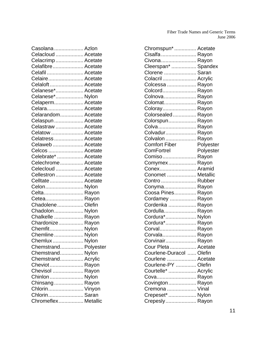| Casolana  Azlon      |  |
|----------------------|--|
| Celacloud  Acetate   |  |
| Celacrimp Acetate    |  |
| Celafibre Acetate    |  |
| Celafil  Acetate     |  |
| Celaire Acetate      |  |
| Celaloft  Acetate    |  |
| Celanese* Acetate    |  |
| Celanese* Nylon      |  |
| Celaperm Acetate     |  |
| Celara Acetate       |  |
| Celarandom Acetate   |  |
| Celaspun  Acetate    |  |
| Celastraw  Acetate   |  |
| Celatow  Acetate     |  |
| Celatress Acetate    |  |
| Celaweb  Acetate     |  |
| Celcos  Acetate      |  |
| Celebrate*  Acetate  |  |
| Celechrome Acetate   |  |
| Celecloud  Acetate   |  |
| Cellestron  Acetate  |  |
| Celltate  Acetate    |  |
| Celon Nylon          |  |
| Celta Rayon          |  |
| Cetea Rayon          |  |
| Chadolene Olefin     |  |
| Chadolon Nylon       |  |
| Chalkelle  Rayon     |  |
| Chardonize Rayon     |  |
| Chemfit Nylon        |  |
| Chemline  Nylon      |  |
| Chemlux  Nylon       |  |
| Chemstrand Polyester |  |
| Chemstrand Nylon     |  |
| Chemstrand Acrylic   |  |
| Cheviot  Rayon       |  |
| Chevisol  Rayon      |  |
| Chinlon  Nylon       |  |
| Chinsang Rayon       |  |
| Chlorin Vinyon       |  |
| Chlorin Saran        |  |
| Chromeflex Metallic  |  |

| Chromspun*  Acetate      |           |
|--------------------------|-----------|
| Cisalfa  Rayon           |           |
| Civona Rayon             |           |
| Cleerspan*  Spandex      |           |
| Clorene  Saran           |           |
| Colacril  Acrylic        |           |
| Colcessa  Rayon          |           |
| Colcord Rayon            |           |
| Colnova Rayon            |           |
| Colomat Rayon            |           |
| Coloray Rayon            |           |
| Colorsealed Rayon        |           |
| Colorspun Rayon          |           |
| Colva Rayon              |           |
| Colvadur Rayon           |           |
| Colvalon  Rayon          |           |
| <b>Comfort Fiber</b>     | Polyester |
| <b>ComFortrel</b>        | Polyester |
| Comiso Rayon             |           |
| Comymex Rayon            |           |
| Conex Aramid             |           |
| Conomet  Metallic        |           |
| Contro  Rubber           |           |
| Conyma Rayon             |           |
| Coosa Pines Rayon        |           |
| Cordamey  Rayon          |           |
| Cordenka  Rayon          |           |
| Cordulla Rayon           |           |
| Cordura* Nylon           |           |
| Cordura* Rayon           |           |
| Corval Rayon             |           |
| Corvala Rayon            |           |
| Corvinair Rayon          |           |
| Cour Pleta  Acetate      |           |
| Courlene-Duracol  Olefin |           |
| Courlene  Acetate        |           |
| Courlene-PY  Olefin      |           |
| Courtelle*  Acrylic      |           |
| Cova Rayon               |           |
| Covington Rayon          |           |
| Cremona  Vinal           |           |
| Crepeset*  Nylon         |           |
| Crepesly Rayon           |           |
|                          |           |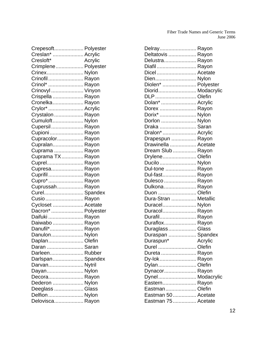| Crepesoft Polyester |         |
|---------------------|---------|
| Creslan*  Acrylic   |         |
| Cresloft*           | Acrylic |
| Crimplene Polyester |         |
| Crinex Nylon        |         |
| Crinofil  Rayon     |         |
| Crinol*  Rayon      |         |
| Crinovyl  Vinyon    |         |
| Crispella  Rayon    |         |
| Cronelka Rayon      |         |
| Crylor*  Acrylic    |         |
| Crystalon  Rayon    |         |
| Cumuloft Nylon      |         |
| Cupersil  Rayon     |         |
| Cupioni  Rayon      |         |
| Cupracolor Rayon    |         |
| Cupralan Rayon      |         |
| Cuprama  Rayon      |         |
| Cuprama TX Rayon    |         |
| Cuprel Rayon        |         |
| Cupresa Rayon       |         |
| Cuprifil  Rayon     |         |
| Cupro*  Rayon       |         |
| Cuprussah Rayon     |         |
| Curel Spandex       |         |
| Cusio  Rayon        |         |
| Cycloset  Acetate   |         |
| Dacron*  Polyester  |         |
| Daifuki  Rayon      |         |
| Daiwabo  Rayon      |         |
| Danufil* Rayon      |         |
| Danulon Nylon       |         |
| Daplan Olefin       |         |
| Daran  Saran        |         |
| Darleen Rubber      |         |
| Darlspan Spandex    |         |
| Darvan Nytril       |         |
| Dayan Nylon         |         |
| Decora Rayon        |         |
| Dederon  Nylon      |         |
| Deeglass  Glass     |         |
| Delfion  Nylon      |         |
| Delovisca Rayon     |         |

| Delray Rayon                  |  |
|-------------------------------|--|
| Deltatovis  Rayon             |  |
| Delustra Rayon                |  |
| Diafil  Rayon                 |  |
| Dicel Acetate                 |  |
| Dien Nylon                    |  |
| Diolen*  Polyester            |  |
| Diorid Modacrylic             |  |
| DLP  Olefin                   |  |
| Dolan*  Acrylic               |  |
| Dorex  Rayon                  |  |
| Dorix*  Nylon                 |  |
| Dorlon  Nylon                 |  |
| Draka  Saran                  |  |
| Dralon*  Acrylic              |  |
| Drapespun  Rayon              |  |
| Drawinella  Acetate           |  |
| Dream Slub  Rayon             |  |
| Drylene Olefin                |  |
| Ducilo  Nylon                 |  |
| Dul-tone  Rayon               |  |
| Dul-fast Rayon                |  |
| Dulesco  Rayon                |  |
| Dulkona Rayon                 |  |
| Duon  Olefin                  |  |
| Dura-Stran  Metallic          |  |
| Duracel Nylon                 |  |
| Duracol Rayon                 |  |
| Durafil Rayon                 |  |
| Duraflox Rayon                |  |
| Duraglass Glass               |  |
| Duraspan  Spandex             |  |
| Duraspun <sup>*</sup> Acrylic |  |
| Durel  Olefin                 |  |
| Dureta  Rayon                 |  |
| Dy-lok Rayon                  |  |
| Dylan Olefin                  |  |
| Dynacor Rayon                 |  |
| Dynel Modacrylic              |  |
| Eastern Rayon                 |  |
| Eastman Olefin                |  |
| Eastman 50 Acetate            |  |
| Eastman 75 Acetate            |  |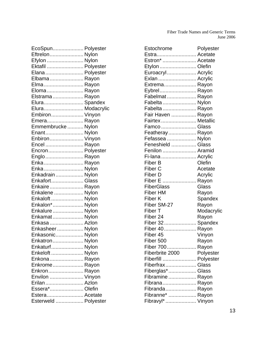| EcoSpun Polyester    |  |
|----------------------|--|
| Eftrelon Nylon       |  |
| Efylon  Nylon        |  |
| Ektafil  Polyester   |  |
| Elana  Polyester     |  |
| Elbama Rayon         |  |
| Elma Rayon           |  |
| Eloma  Rayon         |  |
| Elstrama Rayon       |  |
| Elura Spandex        |  |
| Elura Modacrylic     |  |
| Embiron Vinyon       |  |
| Emera Rayon          |  |
| Emmembrucke  Nylon   |  |
| Enant Nylon          |  |
| Enbiron Vinyon       |  |
| Encel  Rayon         |  |
| Encron Polyester     |  |
| Englo  Rayon         |  |
| Enka  Rayon          |  |
| Enka  Nylon          |  |
| Enkadrain  Nylon     |  |
| Enkafort Glass       |  |
| Enkaire  Rayon       |  |
| Enkalene  Nylon      |  |
| Enkaloft  Nylon      |  |
| Enkalon* Nylon       |  |
| Enkalure  Nylon      |  |
| Enkamat  Nylon       |  |
| Enkasa  Azlon        |  |
| Enkasheer Nylon      |  |
| Enkasonic Nylon      |  |
| Enkatron Nylon       |  |
| Enkaturf Nylon       |  |
| Enkeloft  Nylon      |  |
| Enkona  Rayon        |  |
| Enkrome Rayon        |  |
| Enkron Rayon         |  |
| Envilon  Vinyon      |  |
| Erilan  Azlon        |  |
| Essera* Olefin       |  |
| Estera Acetate       |  |
| Esterweld  Polyester |  |

| Estochrome           | Polyester  |
|----------------------|------------|
| Estra Acetate        |            |
| Estron*  Acetate     |            |
| Etylon  Olefin       |            |
| Euroacryl Acrylic    |            |
| Exlan  Acrylic       |            |
| Extrema Rayon        |            |
| Eybrel Rayon         |            |
| Fabelmat  Rayon      |            |
| Fabelta  Nylon       |            |
| Fabelta  Rayon       |            |
| Fair Haven  Rayon    |            |
| Fairtex  Metallic    |            |
| Famco  Glass         |            |
| Featheray Rayon      |            |
| Fefassea  Nylon      |            |
| Feneshield  Glass    |            |
| Fenilon  Aramid      |            |
| Fi-lana  Acrylic     |            |
| Fiber B              | Olefin     |
| Fiber C              | Acetate    |
| Fiber D              | Acrylic    |
| Fiber E  Rayon       |            |
| <b>FiberGlass</b>    | Glass      |
| Fiber HM             | Rayon      |
| Fiber K              | Spandex    |
| Fiber SM-27          | Rayon      |
| Fiber T              | Modacrylic |
| Fiber 24             | Rayon      |
| Fiber 32 Spandex     |            |
| Fiber 40 Rayon       |            |
| Fiber 45             | Vinyon     |
| Fiber 500            | Rayon      |
| Fiber 700 Rayon      |            |
| Fiberbrite 2000      | Polyester  |
| Fiberfill  Polyester |            |
| Fiberfrax Glass      |            |
| Fiberglas* Glass     |            |
| Fibramine  Rayon     |            |
| Fibrana Rayon        |            |
| Fibranda Rayon       |            |
| Fibranne*  Rayon     |            |
| Fibravyl*  Vinyon    |            |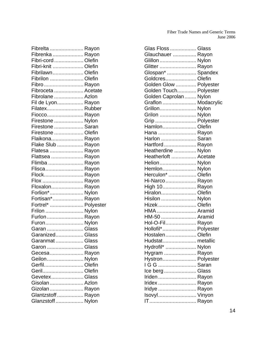| Fibrelta  Rayon     |  |
|---------------------|--|
| Fibrenka  Rayon     |  |
| Fibri-cord  Olefin  |  |
| Fibri-knit  Olefin  |  |
| Fibrilawn Olefin    |  |
| Fibrilon  Olefin    |  |
| Fibro  Rayon        |  |
| Fibroceta  Acetate  |  |
| Fibrolane  Azlon    |  |
| Fil de Lyon Rayon   |  |
| Filatex Rubber      |  |
| Fiocco Rayon        |  |
| Firestone  Nylon    |  |
| Firestone  Saran    |  |
| Firestone  Olefin   |  |
| Flaikona Rayon      |  |
| Flake Slub  Rayon   |  |
| Flatesa  Rayon      |  |
| Flattsea  Rayon     |  |
| Flimba  Rayon       |  |
| Flisca Rayon        |  |
| Flock Rayon         |  |
| Flox  Rayon         |  |
| Floxalon Rayon      |  |
| Forlion* Nylon      |  |
| Fortisan* Rayon     |  |
| Fortrel*  Polyester |  |
| Frilon  Nylon       |  |
| Furlon  Rayon       |  |
| Furon Nylon         |  |
| Garan  Glass        |  |
| Garanized Glass     |  |
| Garanmat  Glass     |  |
| Garon  Glass        |  |
| Gecesa Rayon        |  |
| Geilon Nylon        |  |
| Gerfil Olefin       |  |
| Geril Olefin        |  |
| Gevetex Glass       |  |
| Gisolan  Azlon      |  |
| Gizolan  Rayon      |  |
| Glantzstoff  Rayon  |  |
| Glanzstoff  Nylon   |  |

| <b>Glas Floss  Glass</b> |  |
|--------------------------|--|
| Glauchauer  Rayon        |  |
| Glillon  Nylon           |  |
| Glitter  Rayon           |  |
| Glospan*  Spandex        |  |
| Goldcres Olefin          |  |
| Golden Glow  Polyester   |  |
| Golden Touch Polyester   |  |
| Golden Caprolan  Nylon   |  |
| Graflon  Modacrylic      |  |
| Grillon Nylon            |  |
| Grilon  Nylon            |  |
| Grip  Polyester          |  |
| Hamlon Olefin            |  |
| Hana  Rayon              |  |
| Harlon  Saran            |  |
| Hartford  Rayon          |  |
| Heatherdine  Nylon       |  |
| Heatherloft  Acetate     |  |
| Helion Nylon             |  |
| Hemlon Nylon             |  |
| Herculon*  Olefin        |  |
| Hi-Narco Rayon           |  |
| High 10 Rayon            |  |
| Hiralon Olefin           |  |
| Hisilon  Nylon           |  |
| Hizek  Olefin            |  |
| HMA Aramid               |  |
| HM-50  Aramid            |  |
| Hol-O-Fil Rayon          |  |
| Hollofil*  Polyester     |  |
| Hostalen Olefin          |  |
|                          |  |
| Hydrofil*  Nylon         |  |
| Hygram  Rayon            |  |
| Hystron Polyester        |  |
| I G G  Saran             |  |
| Ice berg Glass           |  |
| Iriden  Rayon            |  |
| Iridex  Rayon            |  |
| Iridye  Rayon            |  |
| Isovyl Vinyon            |  |
| IT Rayon                 |  |
|                          |  |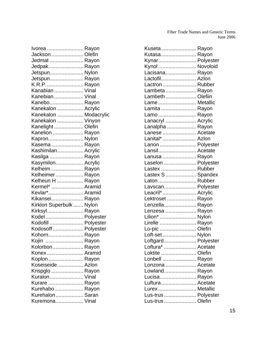| Ivorea  Rayon            |  |
|--------------------------|--|
| Jackson  Olefin          |  |
| Jedmat  Rayon            |  |
| Jedpak Rayon             |  |
| Jetspun Nylon            |  |
| Jetspun Rayon            |  |
| K.R.P.  Rayon            |  |
| Kanabian  Vinal          |  |
| Kanebian  Vinal          |  |
| Kanebo Rayon             |  |
| Kanekalon  Acrylic       |  |
| Kanekalon  Modacrylic    |  |
| Kanekalon  Vinyon        |  |
| Kanelight  Olefin        |  |
| Kanelion  Rayon          |  |
| Kapron Nylon             |  |
| Kasema  Rayon            |  |
| Kashimilan Acrylic       |  |
| Kasilga  Rayon           |  |
| Kasymilon Acrylic        |  |
| Kelheim  Rayon           |  |
| KelheimerRayon           |  |
| Kelheun H  Rayon         |  |
| Kermel*  Aramid          |  |
| Kevlar* Aramid           |  |
| Kikansei Rayon           |  |
| Kirklon Superbulk  Nylon |  |
| Kirksyl Rayon            |  |
| Kodel Polyester          |  |
| Kodofill  Polyester      |  |
| Kodosoff  Polyester      |  |
| Kohorn Rayon             |  |
| Koiin<br>Rayon           |  |
| Kolorbon Rayon           |  |
| Konex Aramid             |  |
| Koplon  Rayon            |  |
| Koseiseide Azlon         |  |
| Krispglo  Rayon          |  |
| Kuralon Vinal            |  |
| Kurare  Rayon            |  |
| Kurehabo Rayon           |  |
| Kurehalon Saran          |  |
| Kuremona Vinal           |  |

| Kuseta Rayon        |  |
|---------------------|--|
| Kutasa  Rayon       |  |
| Kynar Polyester     |  |
| Kynol  Novoloid     |  |
| Lacisana Rayon      |  |
| Lactofil Azlon      |  |
| Lactron  Rubber     |  |
| Lambeta  Rayon      |  |
| Lambeth  Olefiin    |  |
| Lame  Metallic      |  |
| Lamita  Rayon       |  |
| Lamo  Rayon         |  |
| Lanacryl  Acrylic   |  |
| Lanalpha  Rayon     |  |
| Lanese  Acetate     |  |
| Lanital*  Azlon     |  |
| Lanon  Polyester    |  |
| Lansil Acetate      |  |
| Lanusa  Rayon       |  |
| Laselon  Polyester  |  |
| Lastex  Rubber      |  |
| Lastex S  Spandex   |  |
| Laton  Rubber       |  |
| Lavscan Polyester   |  |
| Leacril*  Acrylic   |  |
| Lektroset  Rayon    |  |
| Lenzella Rayon      |  |
| Lenzesa  Rayon      |  |
| Lilion*  Nylon      |  |
| Lirelle  Rayon      |  |
| Lo-pic  Olefin      |  |
| Loft-set Nylon      |  |
| Loftgard Polyester  |  |
| Loftura*  Acetate   |  |
| Loktite  Olefin     |  |
| Lonbell  Rayon      |  |
| Lonzona  Acetate    |  |
| Lowland Rayon       |  |
| Lucisa Rayon        |  |
| Luftura Acetate     |  |
| Lurex  Metallic     |  |
| Lus-trus  Polyester |  |
| Lus-trus  Olefin    |  |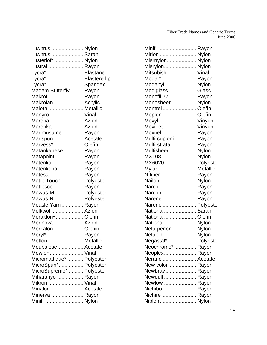| Lus-trus  Nylon           |  |
|---------------------------|--|
| Lus-trus  Saran           |  |
| Lusterloft  Nylon         |  |
| Lustrafil Rayon           |  |
| Lycra*  Elastane          |  |
| Lycra*  Elasterell-p      |  |
| Lycra*  Spandex           |  |
| Madam Butterfly  Rayon    |  |
| Makrofil Rayon            |  |
| Makrolan  Acrylic         |  |
| Malora  Metallic          |  |
| Manyro  Vinal             |  |
| Marena  Azlon             |  |
| Marenka  Azlon            |  |
| Marimusume  Rayon         |  |
| Marispun  Acetate         |  |
| Marvess*  Olefin          |  |
| Matankanese Rayon         |  |
| Matapoint  Rayon          |  |
| Matenka  Rayon            |  |
| Matenkona  Rayon          |  |
| Matesa  Rayon             |  |
| Matte Touch  Polyester    |  |
| Mattesco Rayon            |  |
| Mawus-M Polyester         |  |
| Mawus-R  Polyester        |  |
| Measle Yarn  Rayon        |  |
| Melkwol  Azlon            |  |
| Meraklon*  Olefin         |  |
| Merinova  Azlon           |  |
| Merkalon  Olefiin         |  |
| Meryl*  Rayon             |  |
| Metlon  Metallic          |  |
| Meubalese Acetate         |  |
| Mewlon Vinal              |  |
| Micromattique*  Polyester |  |
| MicroSpun* Polyester      |  |
| MicroSupreme*  Polyester  |  |
| Miharahyo  Rayon          |  |
| Mikron  Vinal             |  |
| Minalon Acetate           |  |
| Minerva  Rayon            |  |
| Minifil  Nylon            |  |

| Minifil Rayon          |  |
|------------------------|--|
| Mirlon  Nylon          |  |
| Misrnylon Nylon        |  |
| Misrylon Nylon         |  |
| Mitsubishi  Vinal      |  |
| Modal* Rayon           |  |
| Modanyl  Nylon         |  |
| Modiglass Glass        |  |
| Monofil 77  Rayon      |  |
| Monosheer  Nylon       |  |
| Montrel Olefin         |  |
| Moplen  Olefin         |  |
| Movyl Vinyon           |  |
| Movilret  Vinyon       |  |
| Moynel  Rayon          |  |
| Multi-cupioni Rayon    |  |
| Multi-strata  Rayon    |  |
| Multisheer  Nylon      |  |
| MX108 Nylon            |  |
| MX6020 Polyester       |  |
| Mylar  Metallic        |  |
| N fiber  Rayon         |  |
| Nailon Nylon           |  |
| Narco  Rayon           |  |
| Narcon  Rayon          |  |
| Narene  Rayon          |  |
| Narene  Polyester      |  |
| National Saran         |  |
| National Olefin        |  |
| National Nylon         |  |
| Nefa-perlon  Nylon     |  |
| Nefalon Nylon          |  |
| Polyester<br>Negastat* |  |
| Neochrome*  Rayon      |  |
| Neoplex Rayon          |  |
| Nerane  Acetate        |  |
| New color  Rayon       |  |
| Newbray Rayon          |  |
| Newdull  Rayon         |  |
| Newlow  Rayon          |  |
| Nichibo  Rayon         |  |
| Nichire Rayon          |  |
| Niplon Nylon           |  |
|                        |  |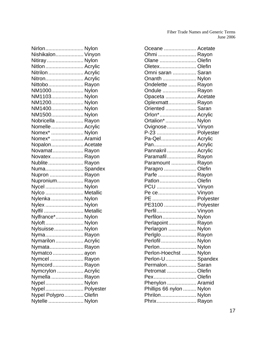| Nirlon Nylon          |  |
|-----------------------|--|
| Nishikalon Vinyon     |  |
| Nitiray  Nylon        |  |
| Nitlon  Acrylic       |  |
| Nitrilon  Acrylic     |  |
| Nitron Acrylic        |  |
| Nittobo Rayon         |  |
| NM1000 Nylon          |  |
| NM1103 Nylon          |  |
| NM1200 Nylon          |  |
| NM1400 Nylon          |  |
| NM1500 Nylon          |  |
| Nobricella  Rayon     |  |
| Nomelle  Acrylic      |  |
| Nomex*  Nylon         |  |
| Nomex*  Aramid        |  |
| Nopalon Acetate       |  |
| Novamat Rayon         |  |
| Novatex Rayon         |  |
| Nublite  Rayon        |  |
| Numa Spandex          |  |
| Nupron  Rayon         |  |
| Nupronium Rayon       |  |
| Nycel  Nylon          |  |
| Nylco  Metallic       |  |
| Nylenka  Nylon        |  |
| Nylex  Nylon          |  |
| Nylfil  Metallic      |  |
| Nylfrance* Nylon      |  |
| Nyloft  Nylon         |  |
| Nylsuisse Nylon       |  |
| Nyma Rayon            |  |
| Nymarilon  Acrylic    |  |
| Nymata Rayon          |  |
| Nymatco  ayon         |  |
| Nymcel  Rayon         |  |
| Nymcord Rayon         |  |
| Nymcrylon  Acrylic    |  |
| Nymella  Rayon        |  |
| Nypel  Nylon          |  |
| Nypel Polyester       |  |
| Nypel Polypro  Olefin |  |
| Nytelle  Nylon        |  |
|                       |  |

| Oceane  Acetate          |  |
|--------------------------|--|
| Ohmi  Rayon              |  |
| Olane  Olefin            |  |
| Oletex Olefin            |  |
| Omni saran  Saran        |  |
| Onanth  Nylon            |  |
| Ondelette  Rayon         |  |
| Ondule  Rayon            |  |
| Opaceta  Acetate         |  |
| Oplexmatt Rayon          |  |
| Oriented  Saran          |  |
| Orlon* Acrylic           |  |
| Ortalion*  Nylon         |  |
| Ovignose  Vinyon         |  |
| P-23  Polyester          |  |
| Pa-Qel Acrylic           |  |
| Pan Acrylic              |  |
| Pannakril  Acrylic       |  |
| Paramafil Rayon          |  |
| Paramount  Rayon         |  |
| Parapro  Olefin          |  |
| Parfe  Rayon             |  |
| Patlon Olefin            |  |
| PCU  Vinyon              |  |
| Pe ce Vinyon             |  |
| PE  Polyester            |  |
| PE3100  Polyester        |  |
| Perfil Vinyon            |  |
| Perfilon Nylon           |  |
| Perlapoint Rayon         |  |
| Perlargon  Nylon         |  |
| Perlglo Rayon            |  |
| Perlofil  Nylon          |  |
| Perlon Nylon             |  |
| Perlon-Hoechst  Nylon    |  |
| Perlon-U Spandex         |  |
| Permalon Saran           |  |
| Petromat  Olefin         |  |
| Pex Olefin               |  |
| Phenylon  Aramid         |  |
| Phillips 66 nylon  Nylon |  |
| Phrilon Nylon            |  |
| Phrix Rayon              |  |
|                          |  |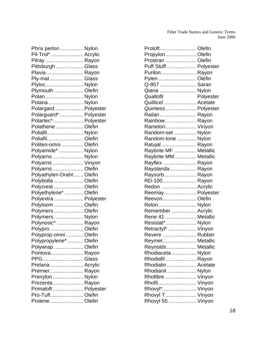| Phrix perlon  Nylon                    |  |
|----------------------------------------|--|
| Pil-Trol*  Acrylic                     |  |
| Pilray  Rayon                          |  |
| Pittsburgh  Glass                      |  |
| Plavia  Rayon                          |  |
| Ply-mat  Glass                         |  |
| Plyloc Nylon                           |  |
| Plymouth  Olefin                       |  |
| Polan  Nylon                           |  |
| Polana  Nylon                          |  |
| Polargard Polyester                    |  |
| Polarguard*  Polyester                 |  |
| Polartec* Polyester                    |  |
| Polathene  Olefin                      |  |
| Poliafil Nylon                         |  |
| Poliafil Olefin                        |  |
| Politen-omni  Olefin                   |  |
| Polyamide*  Nylon                      |  |
| Polyarns  Nylon                        |  |
| Polyarns  Vinyon                       |  |
| Polyarns  Olefin                       |  |
| Polyathylen-Draht Olefin               |  |
| Polybolta  Olefin                      |  |
| Polycrest  Olefin                      |  |
| Polyethylene*  Olefin                  |  |
| Polyextra  Polyester                   |  |
| Polyloom  Olefin                       |  |
| Polymers  Olefin                       |  |
| Polymers  Nylon                        |  |
| Polynosic*  Rayon                      |  |
| Polypro  Olefin                        |  |
| Polyprop-omni  Olefin                  |  |
| Polypropylene*  Olefin                 |  |
| Polywrap  Olefin                       |  |
| Pontova  Rayon                         |  |
| PPG Glass                              |  |
| Prelana Acrylic                        |  |
| Premier Rayon                          |  |
| Prenylon  Nylon                        |  |
|                                        |  |
| Prezenta Rayon<br>Primaloft  Polyester |  |
| Pro-Tuft  Olefin                       |  |
| Prolene Olefin                         |  |
|                                        |  |

| Proloft Olefin        |           |
|-----------------------|-----------|
| Propylon Olefin       |           |
| Prostran  Olefin      |           |
| Puff Stuff  Polyester |           |
| Purilon Rayon         |           |
| Pylen  Olefin         |           |
| Q-957  Saran          |           |
| Qiana  Nylon          |           |
| Quallofil             | Polyester |
| Quilticel  Acetate    |           |
| Quintess Polyester    |           |
| Railan Rayon          |           |
| Rainbow  Rayon        |           |
| Ramelon Vinyon        |           |
| Random-set  Nylon     |           |
| Random-tone  Nylon    |           |
| Ratujal Rayon         |           |
| Raybrite MF  Metallic |           |
| Raybrite MM Metallic  |           |
| Rayflex  Rayon        |           |
| Rayolanda  Rayon      |           |
| Raysorb Rayon         |           |
| RD-100 Rayon          |           |
| Redon  Acrylic        |           |
| Reemay Polyester      |           |
| Reevon Olefin         |           |
| Relon Nylon           |           |
| Remember  Acrylic     |           |
| Rene 41  Metallic     |           |
| Resistat* Nylon       |           |
| Retractyl*  Vinyon    |           |
| Revere  Rubber        |           |
| Reymet Metallic       |           |
| Reynolds  Metallic    |           |
| Rhodiaceta  Nylon     |           |
| Rhodiafil  Rayon      |           |
| Rhodialin  Acetate    |           |
| Rhodianil  Nylon      |           |
| Rhofibre  Vinyon      |           |
| Rhofil Vinyon         |           |
| Rhovyl* Vinyon        |           |
| Rhovyl T Vinyon       |           |
| Rhovyl 55  Vinyon     |           |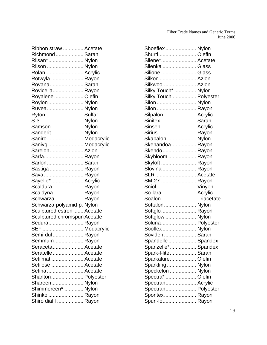| Ribbon straw  Acetate        |
|------------------------------|
| Richmond Saran               |
| Rilsan* Nylon                |
| Rilson  Nylon                |
| Rolan Acrylic                |
| Rotwyla  Rayon               |
| Rovana Saran                 |
| Rovicella Rayon              |
| Royalene  Olefin             |
| Roylon  Nylon                |
| Ruvea Nylon                  |
| Ryton Sulfar                 |
| S-3 Nylon                    |
| Samson  Nylon                |
| Sanderit Nylon               |
| Saniro Modacrylic            |
| Sanivq  Modacrylic           |
| Sarelon Azlon                |
| Sarfa Rayon                  |
| Sarlon Saran                 |
| Sastiga  Rayon               |
| Sava  Rayon                  |
| Sayelle*  Acrylic            |
| Scaldura  Rayon              |
| Scaldyna  Rayon              |
| Schwarza  Rayon              |
| Schwarza-polyamid-p. Nylon   |
| Sculptured estron  Acetate   |
| Sculptured chromspun Acetate |
| Sedura Rayon                 |
| SEF  Modacrylic              |
| Semi-dul  Rayon              |
| Semmum Rayon                 |
| Seraceta Acetate             |
| Seratelle  Acetate           |
| Setilmat  Acetate            |
| Setilose  Acetate            |
| Setina  Acetate              |
| Shanton Polyester            |
| Shareen Nylon                |
| Shimmereen*  Nylon           |
| Shinko  Rayon                |
| Shiro diafil  Rayon          |
|                              |

| Shoeflex  Nylon        |  |
|------------------------|--|
| Shurti Olefin          |  |
| Silene* Acetate        |  |
| Silenka  Glass         |  |
| Silione  Glass         |  |
| Silkon  Azlon          |  |
| Silkwool Azlon         |  |
| Silky Touch*  Nylon    |  |
| Silky Touch  Polyester |  |
| Silon  Nylon           |  |
| Silon  Rayon           |  |
| Silpalon  Acrylic      |  |
| Sinitex  Saran         |  |
| Sinsen  Acrylic        |  |
| Sirius  Rayon          |  |
| Skapalon  Nylon        |  |
| Skenandoa  Rayon       |  |
| Skendo Rayon           |  |
| Skybloom  Rayon        |  |
| Skyloft  Rayon         |  |
| Slovina  Rayon         |  |
| SLR  Acetate           |  |
| SM-27  Rayon           |  |
| Sniol Vinyon           |  |
| So-lara  Acrylic       |  |
| Soalon Triacetate      |  |
| Softalon Nylon         |  |
| Softglo Rayon          |  |
| Softglow  Nylon        |  |
| Soluna Polyester       |  |
| Sooflex Nylon          |  |
| Soviden  Saran         |  |
| Spandelle  Spandex     |  |
| Spanzelle* Spandex     |  |
| Spark-I-lite  Saran    |  |
| Sparkalure Olefin      |  |
| Sparkling  Nylon       |  |
| Speckelon  Nylon       |  |
| Spectra*  Olefin       |  |
| Spectran Acrylic       |  |
| Spectran Polyester     |  |
| Spontex Rayon          |  |
| Spun-lo Rayon          |  |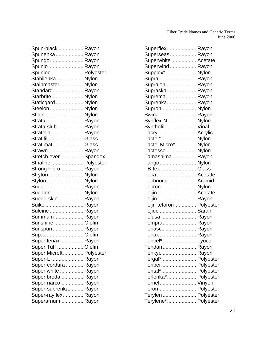| Spun-black  Rayon       |  |
|-------------------------|--|
| Spunenka  Rayon         |  |
| Spungo Rayon            |  |
| Spunlo  Rayon           |  |
| Spunloc  Polyester      |  |
| Stabilenka  Nylon       |  |
| Stainmaster  Nylon      |  |
| Standard Rayon          |  |
| Starbrite Nylon         |  |
| Staticgard  Nylon       |  |
| Steelon  Nylon          |  |
| Stilon  Nylon           |  |
| Strata Rayon            |  |
| Strata-slub Rayon       |  |
| Stratella  Rayon        |  |
| Stratifil  Glass        |  |
| Stratimat Glass         |  |
| Strawn  Rayon           |  |
| Stretch ever Spandex    |  |
| Strialine  Polyester    |  |
| Strong Fibro  Rayon     |  |
| Stryton Nylon           |  |
| Stylon  Nylon           |  |
| Suda Rayon              |  |
| Sudalon  Nylon          |  |
| Suede-skin  Rayon       |  |
| Suiko  Rayon            |  |
| Suleine  Rayon          |  |
| Summum Rayon            |  |
| Sunshine  Olefin        |  |
| Sunspun  Rayon          |  |
| Supac  Olefin           |  |
| Super tenax Rayon       |  |
| Super Tuff  Olefin      |  |
| Super Microft Polyester |  |
| Super-L  Rayon          |  |
| Super-cordura  Rayon    |  |
| Super white  Rayon      |  |
| Super breda  Rayon      |  |
| Super-narco  Rayon      |  |
| Super-suprenka Rayon    |  |
| Super-rayflex Rayon     |  |
| Superarnum  Rayon       |  |

| Superflex Rayon          |              |
|--------------------------|--------------|
| Superseas  Rayon         |              |
| Superwhite  Acetate      |              |
|                          |              |
| Superwind  Rayon         |              |
| Supplex* Nylon           |              |
| Supral Rayon             |              |
| Supralon Rayon           |              |
| Supraska  Rayon          |              |
| Suprema  Rayon           |              |
| Suprenka Rayon           |              |
| Supron  Nylon            |              |
| Swina  Rayon             |              |
| Synflex-N  Nylon         |              |
| Synthofil  Vinal         |              |
| Tacryl  Acrylic          |              |
| Tactel*  Nylon           |              |
| Tactel Micro*            | <b>Nylon</b> |
| Tactesse  Nylon          |              |
| Tamashima  Rayon         |              |
|                          |              |
| Tango Nylon              |              |
| TB-tex  Glass            |              |
| Teca  Acetate            |              |
| Technora Aramid          |              |
| Tecron Nylon             |              |
| Teijin  Acetate          |              |
| Teijin  Rayon            |              |
| Teijn-tetoron  Polyester |              |
| Tejido  Saran            |              |
| Telusa  Rayon            |              |
| Tempra Rayon             |              |
| Tenasco  Rayon           |              |
| Tenax  Rayon             |              |
| Tencel*  Lyocell         |              |
| Tendan Rayon             |              |
| Tenkyo  Rayon            |              |
|                          |              |
| Tergal*  Polyester       |              |
| Teriber Polyester        |              |
| Terital* Polyester       |              |
| Terlenka* Polyester      |              |
| Ternel Vinyon            |              |
| Teron Polyester          |              |
| Terylen  Polyester       |              |
| Terylene* Polyester      |              |
|                          |              |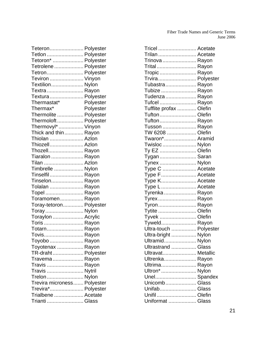| Teteron Polyester           |           |
|-----------------------------|-----------|
| Tetlon  Polyester           |           |
| Tetoron*  Polyester         |           |
| Tetrolene  Polyester        |           |
| Tetron Polyester            |           |
| Teviron  Vinyon             |           |
| <b>Textilion Nylon</b>      |           |
| Textra  Rayon               |           |
| Textura  Polyester          |           |
| Thermastat*                 | Polyester |
| Thermax*                    | Polyester |
| Thermolite  Polyester       |           |
| Thermoloft Polyester        |           |
| Thermovyl*  Vinyon          |           |
| Thick and thin Rayon        |           |
| Thiolan  Azlon              |           |
| Thiozell Azlon              |           |
| Thozell Rayon               |           |
| Tiaralon  Rayon             |           |
| Tilan  Azlon                |           |
| Timbrelle  Nylon            |           |
| Tinselfil  Rayon            |           |
| Tinselon Rayon              |           |
| Tolalan  Rayon              |           |
| Topel  Rayon                |           |
| Toramomen Rayon             |           |
| Toray-tetoron Polyester     |           |
| Toray  Nylon                |           |
| Toraylon  Acrylic           |           |
| Toris  Rayon                |           |
| Totarn Rayon                |           |
| Tovis Rayon                 |           |
| Toyobo  Rayon               |           |
| Toyotenax  Rayon            |           |
| TR-draht Polyester          |           |
| Travema Rayon               |           |
| Travis  Rayon               |           |
| Travis  Nytril              |           |
| Trelon  Nylon               |           |
| Trevira microness Polyester |           |
| Trevira* Polyester          |           |
| Trialbene  Acetate          |           |
| Trianti  Glass              |           |

| Tricel  Acetate         |  |
|-------------------------|--|
| Trilan  Acetate         |  |
| Trinova  Rayon          |  |
| Trital  Rayon           |  |
| Tropic Rayon            |  |
| Trvira Polyester        |  |
| Tubastra  Rayon         |  |
| Tubize  Rayon           |  |
| Tudenza  Rayon          |  |
| Tufcel  Rayon           |  |
| Tufflite profax  Olefin |  |
| Tufton Olefin           |  |
| Tufton Rayon            |  |
| Tusson  Rayon           |  |
| TW 6208  Olefin         |  |
| Twaron* Aramid          |  |
| Twisloc  Nylon          |  |
| Ty EZ  Olefin           |  |
| Tygan  Saran            |  |
| Tynex  Nylon            |  |
| Type C  Acetate         |  |
| Type F Acetate          |  |
| Type K Acetate          |  |
| Type L  Acetate         |  |
| Tyrenka  Rayon          |  |
| Tyrex Rayon             |  |
| Tyron Rayon             |  |
| Tytite  Olefin          |  |
| Tyvek  Olefin           |  |
| Tyweld Rayon            |  |
| Ultra-touch  Polyester  |  |
| Ultra-bright  Nylon     |  |
| Ultramid Nylon          |  |
| Ultrastrand  Glass      |  |
| Ultravat Metallic       |  |
| Ultrenka Rayon          |  |
| Ultrima Rayon           |  |
| Ultron*  Nylon          |  |
| Unel Spandex            |  |
| Unicomb Glass           |  |
| Unifab Glass            |  |
| Unifil  Olefin          |  |
| Uniformat  Glass        |  |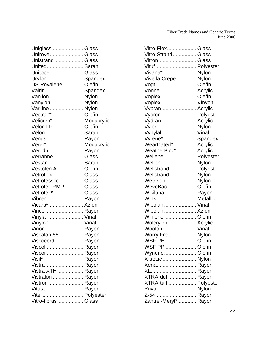| Uniglass  Glass      |       |
|----------------------|-------|
| Unirove Glass        |       |
| Unistrand Glass      |       |
| United Saran         |       |
| Unitope Glass        |       |
| Urylon Spandex       |       |
| US Royalene  Olefin  |       |
| Vairin  Spandex      |       |
| Vanilon  Nylon       |       |
| Vanylon  Nylon       |       |
| Variline  Nylon      |       |
| Vectran*  Olefin     |       |
| Velicren* Modacrylic |       |
| Velon LP Olefin      |       |
| Velon  Saran         |       |
| Venus  Rayon         |       |
| Verel*  Modacrylic   |       |
| Veri-dull  Rayon     |       |
| Verranne  Glass      |       |
| Vestan  Saran        |       |
| Vestolen A Olefin    |       |
| VetroflexGlass       |       |
| Vetrotessile  Glass  |       |
| Vetrotex RMP Glass   |       |
| Vetrotex*  Glass     |       |
| Vibren Rayon         |       |
| Vicara* Azlon        |       |
| Vincel  Rayon        |       |
| Vinylan  Vinal       |       |
| Vinylon  Vinal       |       |
| Virion  Rayon        |       |
| Viscalon 66 Rayon    |       |
| Viscocord  Rayon     |       |
| Viscol Rayon         |       |
| Viscor  Rayon        |       |
| Visil*               | Rayon |
| Vistra  Rayon        |       |
| Vistra XTH Rayon     |       |
| Vistralon  Rayon     |       |
| Vistron  Rayon       |       |
| Vitata  Rayon        |       |
| Vitel  Polyester     |       |
| Vitro-fibras Glass   |       |

| <b>Vitro-Flex Glass</b> |         |
|-------------------------|---------|
| Vitro-Strand Glass      |         |
| Vitron Glass            |         |
| Vituf Polyester         |         |
| Vivana* Nylon           |         |
| Vive la Crepe Nylon     |         |
| Vogt Olefin             |         |
| Vonnel Acrylic          |         |
| Voplex  Olefin          |         |
| Voplex  Vinyon          |         |
| Vybran Acrylic          |         |
| Vycron Polyester        |         |
| Vydran Acrylic          |         |
| Vylor Nylon             |         |
| Vynylal  Vinal          |         |
| Vyrene*  Spandex        |         |
| WearDated*  Acrylic     |         |
| WeatherBloc*            | Acrylic |
| Wellene  Polyester      |         |
| Wellon  Nylon           |         |
| Wellstrand  Polyester   |         |
| Wellstrand  Nylon       |         |
| Wetrelon Nylon          |         |
| WeveBac Olefin          |         |
| Wikilana  Rayon         |         |
| Wink Metallic           |         |
| Wipolan  Vinal          |         |
| Wipolan  Azlon          |         |
| Wirilene  Olefin        |         |
| Wolcrylon  Acrylic      |         |
| Woolon Vinal            |         |
| Worry Free  Nylon       |         |
| <b>WSF PE</b>           |         |
| <b>WSF PP  Olefin</b>   |         |
| Wynene Olefin           |         |
| X-static  Nylon         |         |
| Xena Rayon              |         |
| XL Rayon                |         |
| <b>XTRA-dul  Rayon</b>  |         |
| XTRA-tuff  Polyester    |         |
| Yuva Nylon              |         |
| Z-54 Rayon              |         |
| Zantrel-Meryl* Rayon    |         |
|                         |         |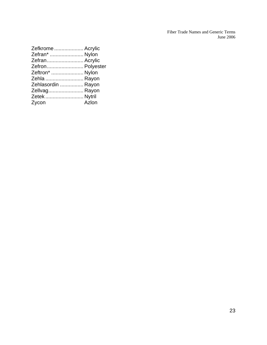Fiber Trade Names and Generic Terms June 2006

| Zefkrome Acrylic   |       |
|--------------------|-------|
| Zefran*  Nylon     |       |
| Zefran Acrylic     |       |
| Zefron Polyester   |       |
| Zeftron*  Nylon    |       |
| Zehla  Rayon       |       |
| Zehlasordin  Rayon |       |
| Zellvag Rayon      |       |
| Zetek  Nytril      |       |
| Zycon              | Azlon |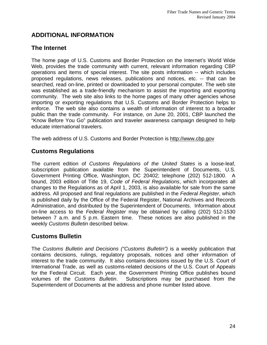# **ADDITIONAL INFORMATION**

#### **The Internet**

The home page of U.S. Customs and Border Protection on the Internet's World Wide Web, provides the trade community with current, relevant information regarding CBP operations and items of special interest. The site posts information -- which includes proposed regulations, news releases, publications and notices, etc. -- that can be searched, read on-line, printed or downloaded to your personal computer. The web site was established as a trade-friendly mechanism to assist the importing and exporting community. The web site also links to the home pages of many other agencies whose importing or exporting regulations that U.S. Customs and Border Protection helps to enforce. The web site also contains a wealth of information of interest to a broader public than the trade community. For instance, on June 20, 2001, CBP launched the "Know Before You Go" publication and traveler awareness campaign designed to help educate international travelers.

The web address of U.S. Customs and Border Protection is [http://www.cbp.gov](http://www.customs.ustreas.gov./)

#### **Customs Regulations**

The current edition of *Customs Regulations of the United States* is a loose-leaf, subscription publication available from the Superintendent of Documents, U.S. Government Printing Office, Washington, DC 20402; telephone (202) 512-1800. A bound, 2003 edition of Title 19, *Code of Federal Regulations*, which incorporates all changes to the Regulations as of April 1, 2003, is also available for sale from the same address. All proposed and final regulations are published in the *Federal Register*, which is published daily by the Office of the Federal Register, National Archives and Records Administration, and distributed by the Superintendent of Documents. Information about on-line access to the *Federal Register* may be obtained by calling (202) 512-1530 between 7 a.m. and 5 p.m. Eastern time. These notices are also published in the weekly *Customs Bulletin* described below.

#### **Customs Bulletin**

The *Customs Bulletin and Decisions ("Customs Bulletin")* is a weekly publication that contains decisions, rulings, regulatory proposals, notices and other information of interest to the trade community. It also contains decisions issued by the U.S. Court of International Trade, as well as customs-related decisions of the U.S. Court of Appeals for the Federal Circuit. Each year, the Government Printing Office publishes bound volumes of the *Customs Bulletin*. Subscriptions may be purchased from the Superintendent of Documents at the address and phone number listed above.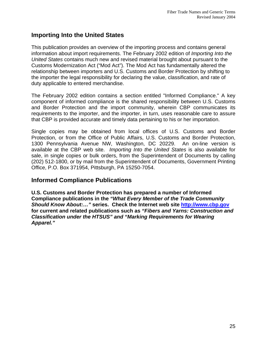## **Importing Into the United States**

This publication provides an overview of the importing process and contains general information about import requirements. The February 2002 edition of *Importing Into the United States* contains much new and revised material brought about pursuant to the Customs Modernization Act ("Mod Act"). The Mod Act has fundamentally altered the relationship between importers and U.S. Customs and Border Protection by shifting to the importer the legal responsibility for declaring the value, classification, and rate of duty applicable to entered merchandise.

The February 2002 edition contains a section entitled "Informed Compliance." A key component of informed compliance is the shared responsibility between U.S. Customs and Border Protection and the import community, wherein CBP communicates its requirements to the importer, and the importer, in turn, uses reasonable care to assure that CBP is provided accurate and timely data pertaining to his or her importation.

Single copies may be obtained from local offices of U.S. Customs and Border Protection, or from the Office of Public Affairs, U.S. Customs and Border Protection, 1300 Pennsylvania Avenue NW, Washington, DC 20229. An on-line version is available at the CBP web site. *Importing Into the United States* is also available for sale, in single copies or bulk orders, from the Superintendent of Documents by calling (202) 512-1800, or by mail from the Superintendent of Documents, Government Printing Office, P.O. Box 371954, Pittsburgh, PA 15250-7054.

#### **Informed Compliance Publications**

**U.S. Customs and Border Protection has prepared a number of Informed Compliance publications in the** *"What Every Member of the Trade Community Should Know About:…"* **series. Check the Internet web site http://www.cbp.gov for current and related publications such as** *"Fibers and Yarns: Construction and Classification under the HTSUS" and "Marking Requirements for Wearing Apparel."*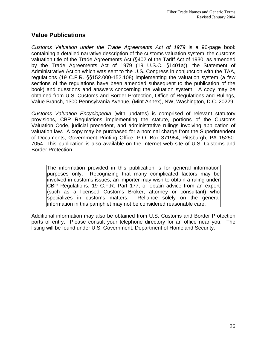#### **Value Publications**

*Customs Valuation under the Trade Agreements Act of 1979* is a 96-page book containing a detailed narrative description of the customs valuation system, the customs valuation title of the Trade Agreements Act (§402 of the Tariff Act of 1930, as amended by the Trade Agreements Act of 1979 (19 U.S.C. §1401a)), the Statement of Administrative Action which was sent to the U.S. Congress in conjunction with the TAA, regulations (19 C.F.R. §§152.000-152.108) implementing the valuation system (a few sections of the regulations have been amended subsequent to the publication of the book) and questions and answers concerning the valuation system. A copy may be obtained from U.S. Customs and Border Protection, Office of Regulations and Rulings, Value Branch, 1300 Pennsylvania Avenue, (Mint Annex), NW, Washington, D.C. 20229.

*Customs Valuation Encyclopedia* (with updates) is comprised of relevant statutory provisions, CBP Regulations implementing the statute, portions of the Customs Valuation Code, judicial precedent, and administrative rulings involving application of valuation law. A copy may be purchased for a nominal charge from the Superintendent of Documents, Government Printing Office, P.O. Box 371954, Pittsburgh, PA 15250- 7054. This publication is also available on the Internet web site of U.S. Customs and Border Protection.

The information provided in this publication is for general information purposes only. Recognizing that many complicated factors may be involved in customs issues, an importer may wish to obtain a ruling under CBP Regulations, 19 C.F.R. Part 177, or obtain advice from an expert (such as a licensed Customs Broker, attorney or consultant) who specializes in customs matters. Reliance solely on the general information in this pamphlet may not be considered reasonable care.

Additional information may also be obtained from U.S. Customs and Border Protection ports of entry. Please consult your telephone directory for an office near you. The listing will be found under U.S. Government, Department of Homeland Security.